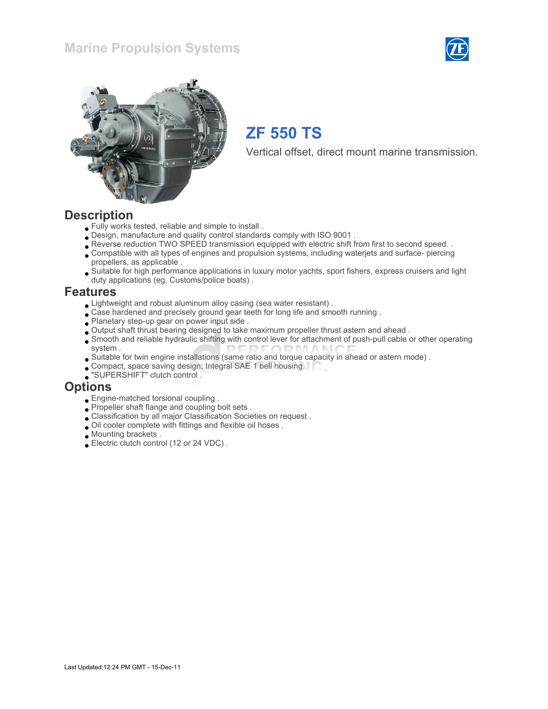### Marine Propulsion Systems





## ZF 550 TS

Vertical offset, direct mount marine transmission.

### **Description**

- Fully works tested, reliable and simple to install .
- Design, manufacture and quality control standards comply with ISO 9001 .
- Reverse reduction TWO SPEED transmission equipped with electric shift from first to second speed. .
- Compatible with all types of engines and propulsion systems, including waterjets and surface- piercing propellers, as applicable .
- Suitable for high performance applications in luxury motor yachts, sport fishers, express cruisers and light duty applications (eg. Customs/police boats) .

### Features

- Lightweight and robust aluminum alloy casing (sea water resistant) .
- Case hardened and precisely ground gear teeth for long life and smooth running.
- Planetary step-up gear on power input side .
- Output shaft thrust bearing designed to take maximum propeller thrust astern and ahead .
- Smooth and reliable hydraulic shifting with control lever for attachment of push-pull cable or other operating system .
- Suitable for twin engine installations (same ratio and torque capacity in ahead or astern mode) .
- Compact, space saving design; Integral SAE 1 bell housing.
- "SUPERSHIFT" clutch control .

### **Options**

- Engine-matched torsional coupling .
- Propeller shaft flange and coupling bolt sets .
- Classification by all major Classification Societies on request .
- Oil cooler complete with fittings and flexible oil hoses .
- Mounting brackets .
- Electric clutch control (12 or 24 VDC) .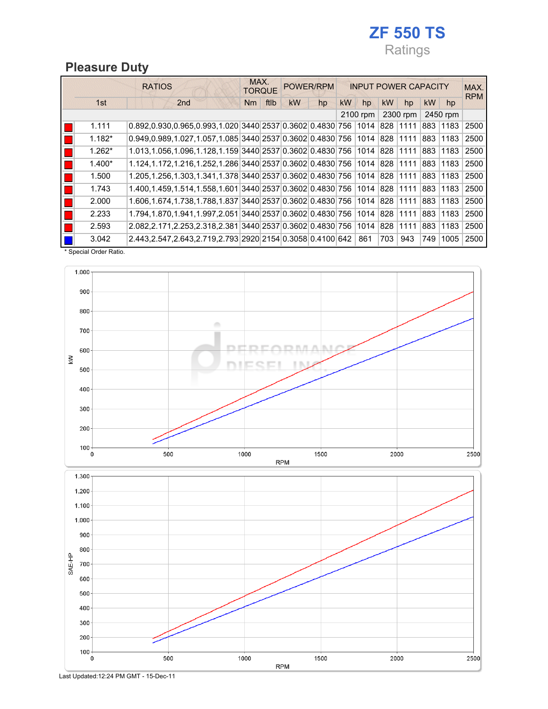## ZF 550 TS Ratings

## Pleasure Duty

|          | <b>RATIOS</b>                                                           |            | MAX.<br>POWER/RPM<br><b>TORQUE</b> |    |    | <b>INPUT POWER CAPACITY</b> |           |           |     |          |            |
|----------|-------------------------------------------------------------------------|------------|------------------------------------|----|----|-----------------------------|-----------|-----------|-----|----------|------------|
| 1st      | 2 <sub>nd</sub>                                                         | ftlb<br>Nm | <b>kW</b>                          | hp | kW | hp                          | <b>kW</b> | hp        | kW  | hp       | <b>RPM</b> |
|          |                                                                         |            |                                    |    |    | 2100 rpm                    |           | 2300 rpm  |     | 2450 rpm |            |
| 1.111    | 0.892,0.930,0.965,0.993,1.020 3440 2537 0.3602 0.4830 756               |            |                                    |    |    | 1014                        |           | 828 11111 | 883 | 1183     | 2500       |
| $1.182*$ | 0.949,0.989,1.027,1.057,1.085 3440 2537 0.3602 0.4830 756 1014 828 1111 |            |                                    |    |    |                             |           |           | 883 | 1183     | 2500       |
| $1.262*$ | 1.013,1.056,1.096,1.128,1.159 3440 2537 0.3602 0.4830 756               |            |                                    |    |    | 1014  828  1111             |           |           | 883 | 1183     | 2500       |
| $1.400*$ | 1.124,1.172,1.216,1.252,1.286 3440 2537 0.3602 0.4830 756 1014 828 1111 |            |                                    |    |    |                             |           |           | 883 | 1183     | 2500       |
| 1.500    | 1.205,1.256,1.303,1.341,1.378 3440 2537 0.3602 0.4830 756               |            |                                    |    |    | 1014  828  1111             |           |           | 883 | 1183     | 2500       |
| 1.743    | 1.400,1.459,1.514,1.558,1.601 3440 2537 0.3602 0.4830 756 1014 828 1111 |            |                                    |    |    |                             |           |           | 883 | 1183     | 2500       |
| 2.000    | 1.606,1.674,1.738,1.788,1.837 3440 2537 0.3602 0.4830 756 1014 828 1111 |            |                                    |    |    |                             |           |           | 883 | 1183     | 2500       |
| 2.233    | 1.794,1.870,1.941,1.997,2.051 3440 2537 0.3602 0.4830 756               |            |                                    |    |    | 1014 828 11111              |           |           | 883 | 1183     | 2500       |
| 2.593    | 2.082,2.171,2.253,2.318,2.381 3440 2537 0.3602 0.4830 756               |            |                                    |    |    | 1014 828 11111              |           |           | 883 | 1183     | 2500       |
| 3.042    | 2.443,2.547,2.643,2.719,2.793 2920 2154 0.3058 0.4100 642               |            |                                    |    |    | 861                         | 703       | 943       | 749 | 1005     | 2500       |

\* Special Order Ratio.



Last Updated:12:24 PM GMT - 15-Dec-11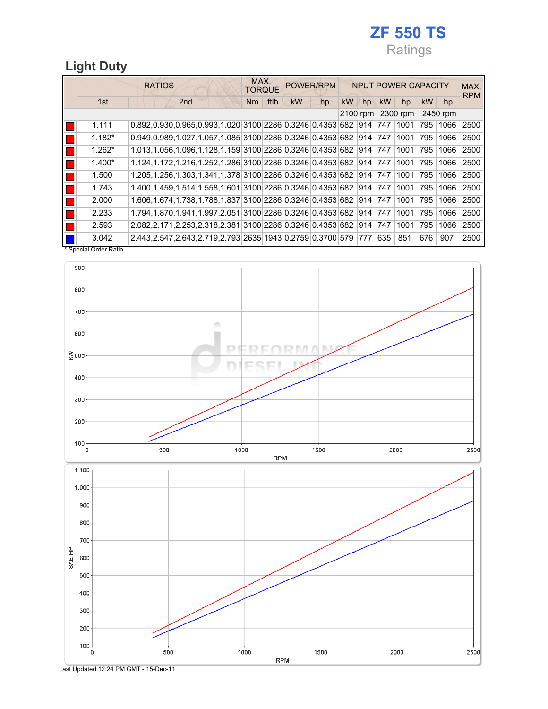## ZF 550 TS Ratings

2500

## Light Duty

|                       | <b>RATIOS</b>                                                                         | MAX.<br><b>TORQUE</b> |           | POWER/RPM |            |    | <b>INPUT POWER CAPACITY</b> |          |           |          |            |  |
|-----------------------|---------------------------------------------------------------------------------------|-----------------------|-----------|-----------|------------|----|-----------------------------|----------|-----------|----------|------------|--|
| 1st                   | 2 <sub>nd</sub>                                                                       | ftlb<br>Nm            | <b>kW</b> | hp        | <b>kW</b>  | hp | kW                          | hp       | <b>kW</b> | hp       | <b>RPM</b> |  |
|                       |                                                                                       |                       |           |           | $2100$ rpm |    |                             | 2300 rpm |           | 2450 rpm |            |  |
| 1.111                 | $0.892, 0.930, 0.965, 0.993, 1.020 \, 3100 \, 2286 \, 0.3246 \, 0.4353 \, 682 \, 914$ |                       |           |           |            |    | 747                         | 1001     | 795       | 1066     | 2500       |  |
| $1.182*$              | $0.949, 0.989, 1.027, 1.057, 1.085$ 3100 2286 0.3246 0.4353 682 914 747               |                       |           |           |            |    |                             | 1001     | 795       | 1066     | 2500       |  |
| $1.262*$              | 1.013,1.056,1.096,1.128,1.159 3100 2286 0.3246 0.4353 682 914 747 1001                |                       |           |           |            |    |                             |          | 1795      | 1066     | 2500       |  |
| $1.400*$              | 1.124,1.172,1.216,1.252,1.286 3100 2286 0.3246 0.4353 682 914 747                     |                       |           |           |            |    |                             | 1001     | 795       | 1066     | 2500       |  |
| 1.500                 | 1.205,1.256,1.303,1.341,1.378 3100 2286 0.3246 0.4353 682 914 747                     |                       |           |           |            |    |                             | 1001     | 795       | 1066     | 2500       |  |
| 1.743                 | 1.400,1.459,1.514,1.558,1.601 3100 2286 0.3246 0.4353 682 914 747                     |                       |           |           |            |    |                             | 1001     | 795       | 1066     | 2500       |  |
| 2.000                 | 1.606.1.674.1.738.1.788.1.837 3100 2286 0.3246 0.4353 682 914 747                     |                       |           |           |            |    |                             | 1001     | 795       | 1066     | 2500       |  |
| 2.233                 | 1.794.1.870.1.941.1.997.2.051 3100 2286 0.3246 0.4353 682 914 747                     |                       |           |           |            |    |                             | 1001     | 795       | 1066     | 2500       |  |
| 2.593                 | 2.082.2.171.2.253.2.318.2.381 3100 2286 0.3246 0.4353 682 914 747                     |                       |           |           |            |    |                             | 1001     | 795       | 1066     | 2500       |  |
| 3.042                 | 2.443,2.547,2.643,2.719,2.793 2635 1943 0.2759 0.3700 579 777                         |                       |           |           |            |    | 635                         | 851      | 676       | 907      | 2500       |  |
| * Special Order Ratio |                                                                                       |                       |           |           |            |    |                             |          |           |          |            |  |



1000

**RPM** 

1500

 $2000\,$ 

Last Updated:12:24 PM GMT - 15-Dec-11

500

 $\begin{array}{c}\n100 \\
0\n\end{array}$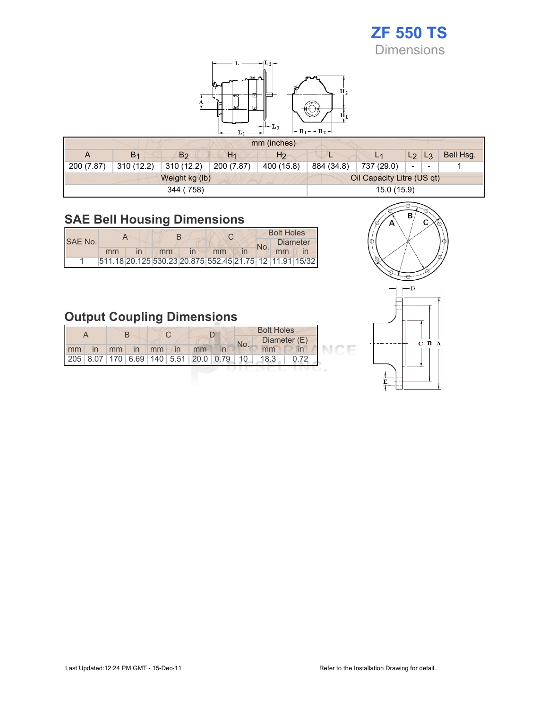# ZF 550 TS

Dimensions



#### mm (inches)

|            |                |                |            | $HIII$ (HIGHES) |            |                            |                          |           |
|------------|----------------|----------------|------------|-----------------|------------|----------------------------|--------------------------|-----------|
| A          | B <sub>1</sub> | B <sub>2</sub> | $H_1$      | H <sub>2</sub>  |            | L <sub>1</sub>             | $L_2$ $L_3$              | Bell Hsg. |
| 200 (7.87) | 310(12.2)      | 310 (12.2)     | 200 (7.87) | 400 (15.8)      | 884 (34.8) | 737 (29.0)                 | $\overline{\phantom{a}}$ |           |
|            |                | Weight kg (lb) |            |                 |            | Oil Capacity Litre (US qt) |                          |           |
|            |                | 344 (758)      |            |                 |            | 15.0 (15.9)                |                          |           |

## SAE Bell Housing Dimensions

**The Control** 

|         |                                                         |    |    |  | <b>Bolt Holes</b> |                 |
|---------|---------------------------------------------------------|----|----|--|-------------------|-----------------|
| SAE No. |                                                         |    |    |  |                   | <b>Diameter</b> |
|         | mm                                                      | mm | mm |  | mm                |                 |
|         | 511.18 20.125 530.23 20.875 552.45 21.75 12 11.91 15/32 |    |    |  |                   |                 |

## Output Coupling Dimensions

|    |    |    |    |    |                                         |     | <b>Bolt Holes</b> |              |  |
|----|----|----|----|----|-----------------------------------------|-----|-------------------|--------------|--|
|    |    |    |    |    |                                         | No. |                   | Diameter (E) |  |
| mm | mm | in | mm | In | mm                                      |     | mm                |              |  |
|    |    |    |    |    | 205 8.07 170 6.69 140 5.51 20.0 0.79 10 |     | 18.3              |              |  |





CE